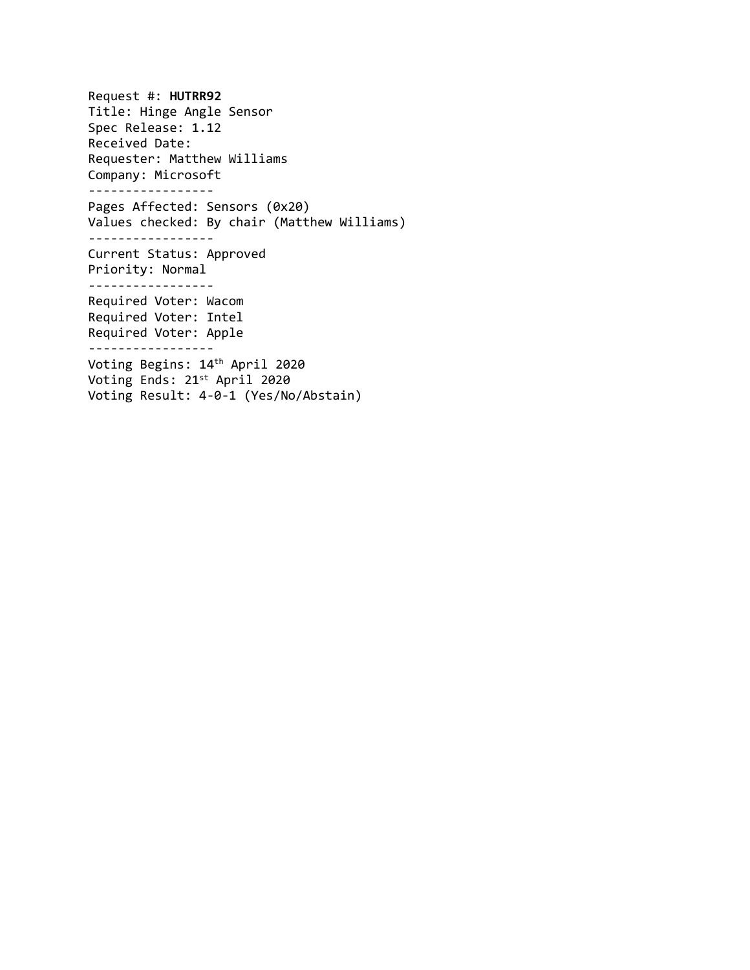Request #: **HUTRR92** Title: Hinge Angle Sensor Spec Release: 1.12 Received Date: Requester: Matthew Williams Company: Microsoft ----------------- Pages Affected: Sensors (0x20) Values checked: By chair (Matthew Williams) ----------------- Current Status: Approved Priority: Normal ----------------- Required Voter: Wacom Required Voter: Intel Required Voter: Apple ----------------- Voting Begins: 14 th April 2020 Voting Ends: 21 st April 2020 Voting Result: 4-0-1 (Yes/No/Abstain)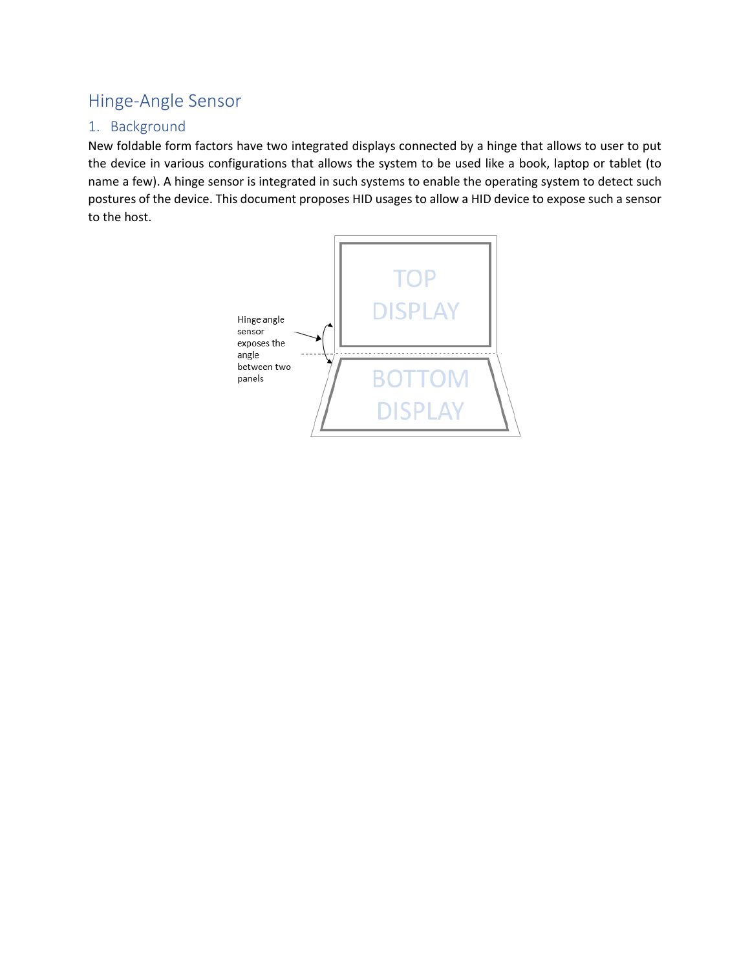# Hinge-Angle Sensor

# 1. Background

New foldable form factors have two integrated displays connected by a hinge that allows to user to put the device in various configurations that allows the system to be used like a book, laptop or tablet (to name a few). A hinge sensor is integrated in such systems to enable the operating system to detect such postures of the device. This document proposes HID usages to allow a HID device to expose such a sensor to the host.

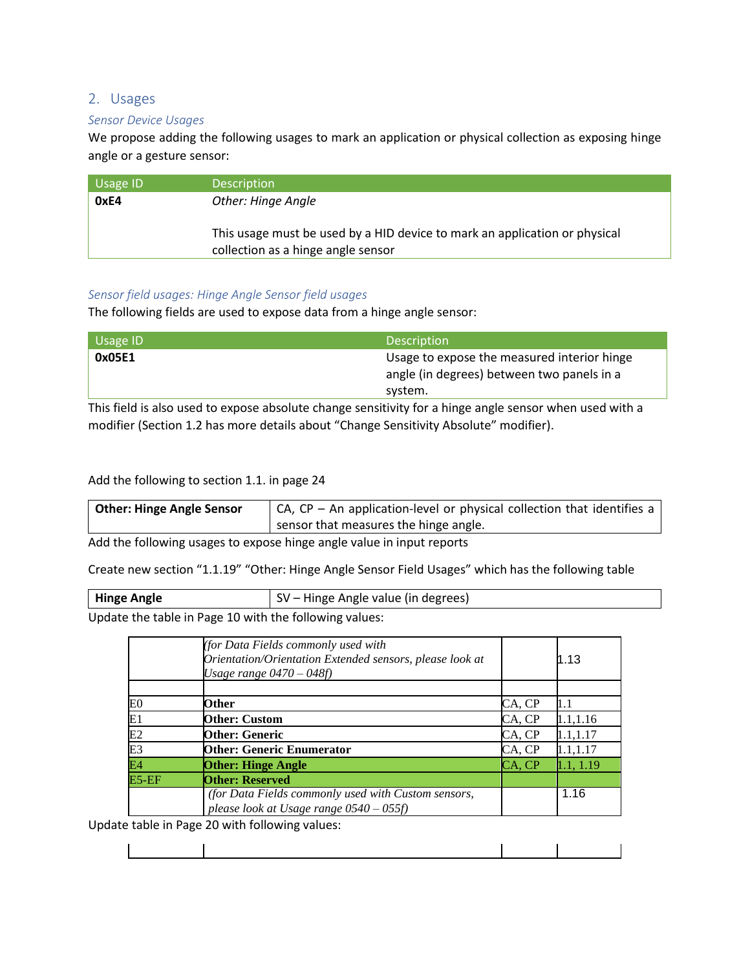## 2. Usages

#### *Sensor Device Usages*

We propose adding the following usages to mark an application or physical collection as exposing hinge angle or a gesture sensor:

| $\overline{\phantom{a}}$ Usage ID' | <b>Description</b>                                                         |
|------------------------------------|----------------------------------------------------------------------------|
| 0xE4                               | Other: Hinge Angle                                                         |
|                                    |                                                                            |
|                                    | This usage must be used by a HID device to mark an application or physical |
|                                    | collection as a hinge angle sensor                                         |

#### *Sensor field usages: Hinge Angle Sensor field usages*

The following fields are used to expose data from a hinge angle sensor:

| Usage ID | <b>Description</b>                          |  |
|----------|---------------------------------------------|--|
| 0x05E1   | Usage to expose the measured interior hinge |  |
|          | angle (in degrees) between two panels in a  |  |
|          | system.                                     |  |
|          |                                             |  |

This field is also used to expose absolute change sensitivity for a hinge angle sensor when used with a modifier (Section 1.2 has more details about "Change Sensitivity Absolute" modifier).

### Add the following to section 1.1. in page 24

| <b>Other: Hinge Angle Sensor</b> | $\vert$ CA, CP – An application-level or physical collection that identifies a |
|----------------------------------|--------------------------------------------------------------------------------|
|                                  | sensor that measures the hinge angle.                                          |

Add the following usages to expose hinge angle value in input reports

Create new section "1.1.19" "Other: Hinge Angle Sensor Field Usages" which has the following table

| <b>Hinge Angle</b> | SV – Hinge Angle value (in degrees) |
|--------------------|-------------------------------------|
|--------------------|-------------------------------------|

Update the table in Page 10 with the following values:

|                | (for Data Fields commonly used with<br>Orientation/Orientation Extended sensors, please look at<br>Usage range $0470 - 048f$ |        | 1.13      |
|----------------|------------------------------------------------------------------------------------------------------------------------------|--------|-----------|
|                |                                                                                                                              |        |           |
| E <sub>0</sub> | Other                                                                                                                        | CA, CP | 1.1       |
| E1             | <b>Other: Custom</b>                                                                                                         | CA, CP | 1.1, 1.16 |
| E2             | <b>Other: Generic</b>                                                                                                        | CA, CP | 1.1, 1.17 |
| E <sub>3</sub> | <b>Other: Generic Enumerator</b>                                                                                             | CA, CP | 1.1,1.17  |
| E4             | <b>Other: Hinge Angle</b>                                                                                                    | CA, CP | 1.1, 1.19 |
| $E5-EF$        | <b>Other: Reserved</b>                                                                                                       |        |           |
|                | (for Data Fields commonly used with Custom sensors,<br>please look at Usage range $0540 - 055f$ )                            |        | 1.16      |

Update table in Page 20 with following values: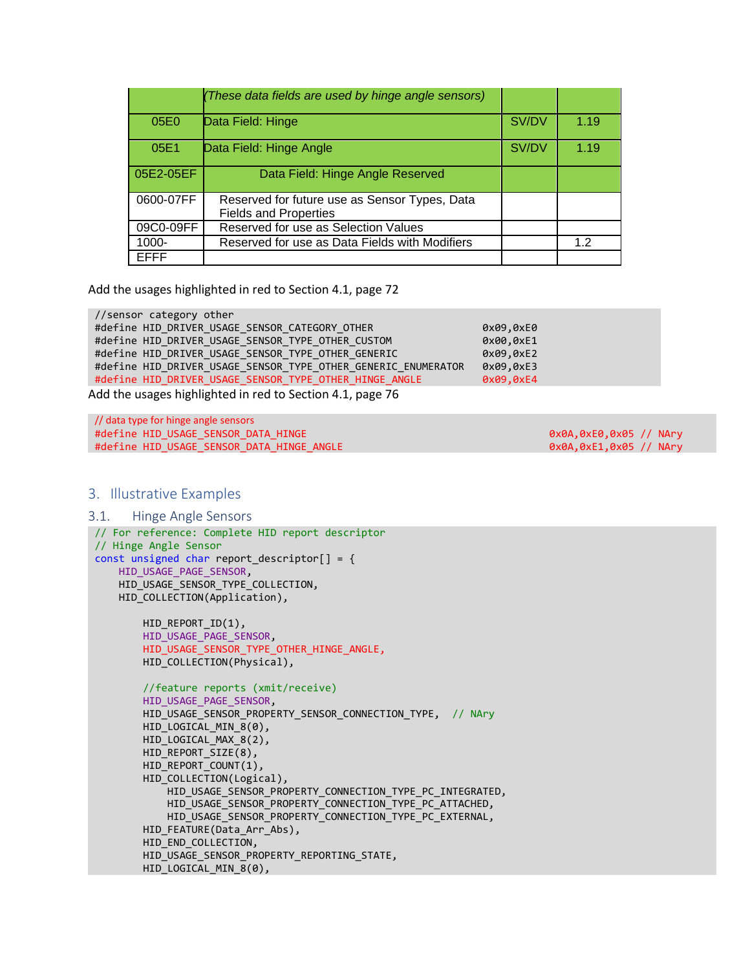|           | (These data fields are used by hinge angle sensors)                           |       |      |
|-----------|-------------------------------------------------------------------------------|-------|------|
| 05E0      | Data Field: Hinge                                                             | SV/DV | 1.19 |
| 05E1      | Data Field: Hinge Angle                                                       | SV/DV | 1.19 |
| 05E2-05EF | Data Field: Hinge Angle Reserved                                              |       |      |
| 0600-07FF | Reserved for future use as Sensor Types, Data<br><b>Fields and Properties</b> |       |      |
| 09C0-09FF | Reserved for use as Selection Values                                          |       |      |
| 1000-     | Reserved for use as Data Fields with Modifiers                                |       | 12   |
| EFFF      |                                                                               |       |      |

Add the usages highlighted in red to Section 4.1, page 72

//sensor category other #define HID\_DRIVER\_USAGE\_SENSOR\_CATEGORY\_OTHER 0x09,0xE0 #define HID\_DRIVER\_USAGE\_SENSOR\_TYPE\_OTHER\_CUSTOM  $0 \times 00, 0 \times 1$ #define HID\_DRIVER\_USAGE\_SENSOR\_TYPE\_OTHER\_GENERIC 0x09,0xE2 #define HID\_DRIVER\_USAGE\_SENSOR\_TYPE\_OTHER\_GENERIC\_ENUMERATOR 0x09,0xE3 #define HID\_DRIVER\_USAGE\_SENSOR\_TYPE\_OTHER\_HINGE\_ANGLE 0x09,0xE4

Add the usages highlighted in red to Section 4.1, page 76

// data type for hinge angle sensors #define HID\_USAGE\_SENSOR\_DATA\_HINGE 0x0A,0xE0,0x05 // NAry #define HID USAGE SENSOR DATA HINGE ANGLE 0x0A,0xE1,0x05 // NAry

#### 3. Illustrative Examples

#### 3.1. Hinge Angle Sensors

```
// For reference: Complete HID report descriptor
// Hinge Angle Sensor
const unsigned char report descriptor[ ] = { }HID_USAGE_PAGE_SENSOR,
     HID_USAGE_SENSOR_TYPE_COLLECTION,
    HID COLLECTION(Application),
        HID REPORT ID(1),
        HID USAGE PAGE SENSOR,
        HID USAGE SENSOR TYPE OTHER HINGE ANGLE,
        HID COLLECTION(Physical),
         //feature reports (xmit/receive)
         HID_USAGE_PAGE_SENSOR,
         HID_USAGE_SENSOR_PROPERTY_SENSOR_CONNECTION_TYPE, // NAry
         HID_LOGICAL_MIN_8(0),
         HID_LOGICAL_MAX_8(2),
         HID_REPORT_SIZE(8),
         HID_REPORT_COUNT(1),
         HID_COLLECTION(Logical),
            HID_USAGE_SENSOR_PROPERTY_CONNECTION_TYPE_PC_INTEGRATED,
             HID_USAGE_SENSOR_PROPERTY_CONNECTION_TYPE_PC_ATTACHED,
            HID_USAGE_SENSOR_PROPERTY_CONNECTION_TYPE_PC_EXTERNAL,
        HID FEATURE(Data Arr Abs),
        HID END COLLECTION,
        HID_USAGE_SENSOR_PROPERTY_REPORTING_STATE,
        HID LOGICAL MIN 8(0),
```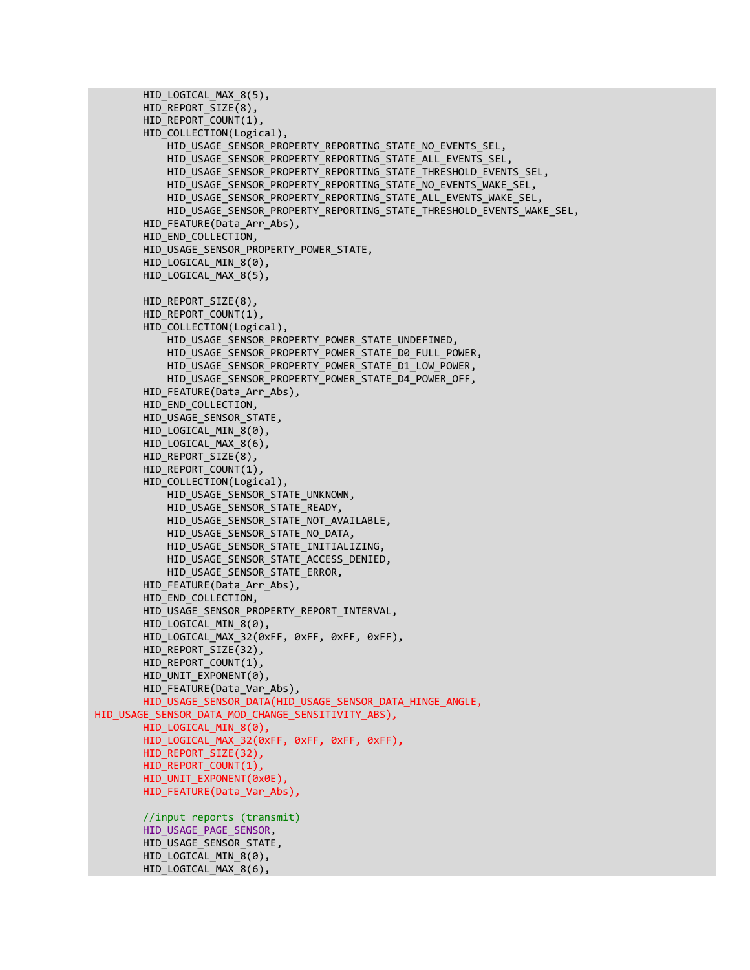```
 HID_LOGICAL_MAX_8(5),
         HID_REPORT_SIZE(8),
         HID_REPORT_COUNT(1),
         HID_COLLECTION(Logical),
             HID_USAGE_SENSOR_PROPERTY_REPORTING_STATE_NO_EVENTS_SEL,
            HID USAGE SENSOR PROPERTY REPORTING STATE ALL EVENTS SEL,
            HID_USAGE_SENSOR_PROPERTY_REPORTING_STATE_THRESHOLD_EVENTS_SEL,
            HID USAGE SENSOR PROPERTY REPORTING STATE NO EVENTS WAKE SEL,
            HID_USAGE_SENSOR_PROPERTY_REPORTING_STATE_ALL_EVENTS_WAKE_SEL,
            HID_USAGE_SENSOR_PROPERTY_REPORTING_STATE_THRESHOLD_EVENTS_WAKE_SEL,
        HID FEATURE(Data Arr Abs),
         HID_END_COLLECTION,
         HID_USAGE_SENSOR_PROPERTY_POWER_STATE,
         HID_LOGICAL_MIN_8(0),
         HID_LOGICAL_MAX_8(5),
        HID_REPORT_SIZE(8),
        HID_REPORT_COUNT(1),
         HID_COLLECTION(Logical),
            HID USAGE SENSOR PROPERTY POWER STATE UNDEFINED,
            HID USAGE SENSOR PROPERTY POWER STATE D0 FULL POWER,
            HID_USAGE_SENSOR_PROPERTY_POWER_STATE_D1_LOW_POWER,
             HID_USAGE_SENSOR_PROPERTY_POWER_STATE_D4_POWER_OFF,
        HID FEATURE(Data Arr Abs),
        HID END COLLECTION,
        HID_USAGE_SENSOR_STATE,
        HID LOGICAL MIN 8(0),
        HID LOGICAL MAX 8(6),
        HID_REPORT_SIZE(8),
        HID_REPORT_COUNT(1),
         HID_COLLECTION(Logical),
             HID_USAGE_SENSOR_STATE_UNKNOWN,
            HID_USAGE_SENSOR_STATE_READY,
            HID_USAGE_SENSOR_STATE_NOT_AVAILABLE,
            HID_USAGE_SENSOR_STATE_NO_DATA,
             HID_USAGE_SENSOR_STATE_INITIALIZING,
            HID_USAGE_SENSOR_STATE_ACCESS_DENIED,
             HID_USAGE_SENSOR_STATE_ERROR,
        HID FEATURE(Data_Arr_Abs),
        HID END COLLECTION,
        HID USAGE SENSOR PROPERTY REPORT INTERVAL,
        HID LOGICAL MIN 8(0),
        HID LOGICAL MAX 32(0xFF, 0xFF, 0xFF, 0xFF),
        HID_REPORT_SIZE(32),
        HID_REPORT_COUNT(1),
        HID_UNIT_EXPONENT(0),
        HID FEATURE(Data Var Abs),
        HID_USAGE_SENSOR_DATA(HID_USAGE_SENSOR_DATA_HINGE_ANGLE,
HID USAGE SENSOR DATA MOD CHANGE SENSITIVITY ABS),
        HID LOGICAL MIN 8(0),
         HID_LOGICAL_MAX_32(0xFF, 0xFF, 0xFF, 0xFF),
        HID_REPORT_SIZE(32),
        HID_REPORT_COUNT(1),
        HID_UNIT_EXPONENT(0x0E),
        HID FEATURE(Data Var Abs),
         //input reports (transmit)
        HID_USAGE_PAGE_SENSOR,
        HID_USAGE_SENSOR_STATE,
         HID_LOGICAL_MIN_8(0),
         HID_LOGICAL_MAX_8(6),
```